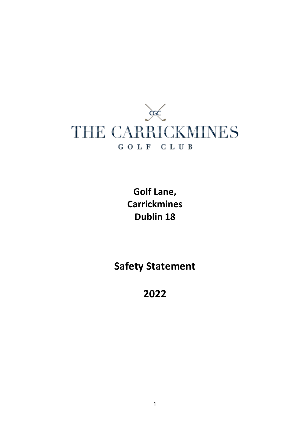

**Golf Lane, Carrickmines Dublin 18**

**Safety Statement** 

**2022**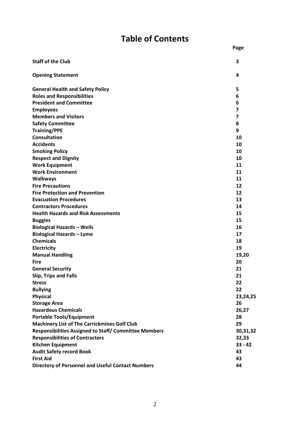## **Table of Contents**

**Page**

| <b>Staff of the Club</b>                                     | 3         |
|--------------------------------------------------------------|-----------|
| <b>Opening Statement</b>                                     | 4         |
| <b>General Health and Safety Policy</b>                      | 5         |
| <b>Roles and Responsibilities</b>                            | 6         |
| <b>President and Committee</b>                               | 6         |
| <b>Employees</b>                                             | 7         |
| <b>Members and Visitors</b>                                  | 7         |
| <b>Safety Committee</b>                                      | 8         |
| <b>Training/PPE</b>                                          | 9         |
| <b>Consultation</b>                                          | 10        |
| <b>Accidents</b>                                             | 10        |
| <b>Smoking Policy</b>                                        | 10        |
| <b>Respect and Dignity</b>                                   | 10        |
| <b>Work Equipment</b>                                        | 11        |
| <b>Work Environment</b>                                      | 11        |
| <b>Walkways</b>                                              | 11        |
| <b>Fire Precautions</b>                                      | 12        |
| <b>Fire Protection and Prevention</b>                        | 12        |
| <b>Evacuation Procedures</b>                                 | 13        |
| <b>Contractors Procedures</b>                                | 14        |
| <b>Health Hazards and Risk Assessments</b>                   | 15        |
| <b>Buggies</b>                                               | 15        |
| <b>Biological Hazards - Weils</b>                            | 16        |
| <b>Biological Hazards - Lyme</b>                             | 17        |
| <b>Chemicals</b>                                             | 18        |
| Electricity                                                  | 19        |
| <b>Manual Handling</b>                                       | 19,20     |
| <b>Fire</b>                                                  | 20        |
| <b>General Security</b>                                      | 21        |
| Slip, Trips and Falls                                        | 21        |
| <b>Stress</b>                                                | 22        |
| <b>Bullying</b>                                              | 22        |
| <b>Physical</b>                                              | 23,24,25  |
| <b>Storage Area</b>                                          | 26        |
| <b>Hazardous Chemicals</b>                                   | 26,27     |
| <b>Portable Tools/Equipment</b>                              | 28        |
| <b>Machinery List of The Carrickmines Golf Club</b>          | 29        |
| <b>Responsibilities Assigned to Staff/ Committee Members</b> | 30,31,32  |
| <b>Responsibilities of Contractors</b>                       | 32,33     |
| <b>Kitchen Equipment</b>                                     | $33 - 42$ |
| <b>Audit Safety record Book</b>                              | 43        |
| <b>First Aid</b>                                             | 43        |
| <b>Directory of Personnel and Useful Contact Numbers</b>     | 44        |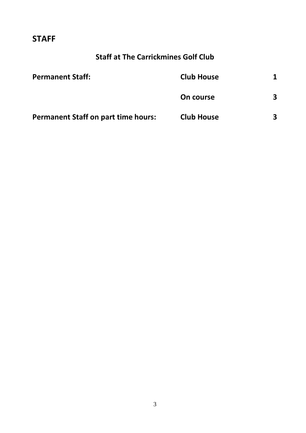### **STAFF**

## **Staff at The Carrickmines Golf Club**

| <b>Permanent Staff:</b>                    | <b>Club House</b> |   |
|--------------------------------------------|-------------------|---|
|                                            | On course         | 3 |
| <b>Permanent Staff on part time hours:</b> | <b>Club House</b> | 3 |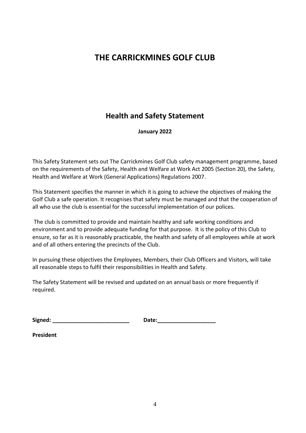### **THE CARRICKMINES GOLF CLUB**

### **Health and Safety Statement**

#### **January 2022**

This Safety Statement sets out The Carrickmines Golf Club safety management programme, based on the requirements of the Safety, Health and Welfare at Work Act 2005 (Section 20), the Safety, Health and Welfare at Work (General Applications) Regulations 2007.

This Statement specifies the manner in which it is going to achieve the objectives of making the Golf Club a safe operation. It recognises that safety must be managed and that the cooperation of all who use the club is essential for the successful implementation of our polices.

The club is committed to provide and maintain healthy and safe working conditions and environment and to provide adequate funding for that purpose. It is the policy of this Club to ensure, so far as it is reasonably practicable, the health and safety of all employees while at work and of all others entering the precincts of the Club.

In pursuing these objectives the Employees, Members, their Club Officers and Visitors, will take all reasonable steps to fulfil their responsibilities in Health and Safety.

The Safety Statement will be revised and updated on an annual basis or more frequently if required.

**Signed: \_\_\_\_\_\_\_\_\_\_\_\_\_\_\_\_\_\_\_\_\_\_\_\_\_ Date:\_\_\_\_\_\_\_\_\_\_\_\_\_\_\_\_\_\_\_**

**President**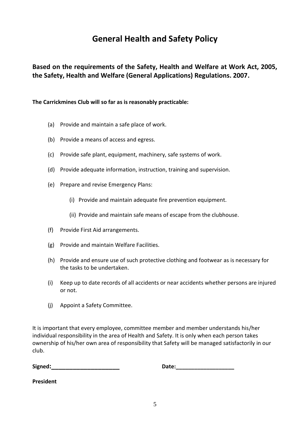## **General Health and Safety Policy**

**Based on the requirements of the Safety, Health and Welfare at Work Act, 2005, the Safety, Health and Welfare (General Applications) Regulations. 2007.**

**The Carrickmines Club will so far as is reasonably practicable:**

- (a) Provide and maintain a safe place of work.
- (b) Provide a means of access and egress.
- (c) Provide safe plant, equipment, machinery, safe systems of work.
- (d) Provide adequate information, instruction, training and supervision.
- (e) Prepare and revise Emergency Plans:
	- (i) Provide and maintain adequate fire prevention equipment.
	- (ii) Provide and maintain safe means of escape from the clubhouse.
- (f) Provide First Aid arrangements.
- (g) Provide and maintain Welfare Facilities.
- (h) Provide and ensure use of such protective clothing and footwear as is necessary for the tasks to be undertaken.
- (i) Keep up to date records of all accidents or near accidents whether persons are injured or not.
- (j) Appoint a Safety Committee.

It is important that every employee, committee member and member understands his/her individual responsibility in the area of Health and Safety. It is only when each person takes ownership of his/her own area of responsibility that Safety will be managed satisfactorily in our club.

**Signed:\_\_\_\_\_\_\_\_\_\_\_\_\_\_\_\_\_\_\_ Date:\_\_\_\_\_\_\_\_\_\_\_\_\_\_\_\_\_\_\_**

**President**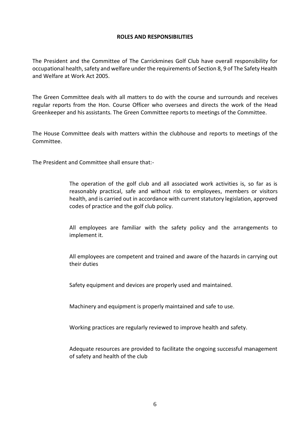#### **ROLES AND RESPONSIBILITIES**

The President and the Committee of The Carrickmines Golf Club have overall responsibility for occupational health, safety and welfare under the requirements of Section 8, 9 of The Safety Health and Welfare at Work Act 2005.

The Green Committee deals with all matters to do with the course and surrounds and receives regular reports from the Hon. Course Officer who oversees and directs the work of the Head Greenkeeper and his assistants. The Green Committee reports to meetings of the Committee.

The House Committee deals with matters within the clubhouse and reports to meetings of the Committee.

The President and Committee shall ensure that:-

The operation of the golf club and all associated work activities is, so far as is reasonably practical, safe and without risk to employees, members or visitors health, and is carried out in accordance with current statutory legislation, approved codes of practice and the golf club policy.

All employees are familiar with the safety policy and the arrangements to implement it.

All employees are competent and trained and aware of the hazards in carrying out their duties

Safety equipment and devices are properly used and maintained.

Machinery and equipment is properly maintained and safe to use.

Working practices are regularly reviewed to improve health and safety.

Adequate resources are provided to facilitate the ongoing successful management of safety and health of the club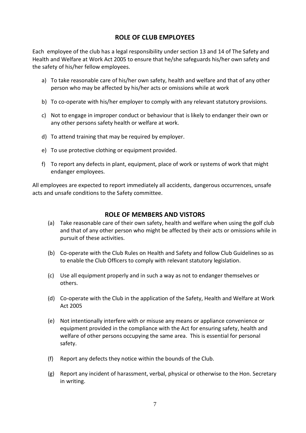### **ROLE OF CLUB EMPLOYEES**

Each employee of the club has a legal responsibility under section 13 and 14 of The Safety and Health and Welfare at Work Act 2005 to ensure that he/she safeguards his/her own safety and the safety of his/her fellow employees.

- a) To take reasonable care of his/her own safety, health and welfare and that of any other person who may be affected by his/her acts or omissions while at work
- b) To co-operate with his/her employer to comply with any relevant statutory provisions.
- c) Not to engage in improper conduct or behaviour that is likely to endanger their own or any other persons safety health or welfare at work.
- d) To attend training that may be required by employer.
- e) To use protective clothing or equipment provided.
- f) To report any defects in plant, equipment, place of work or systems of work that might endanger employees.

All employees are expected to report immediately all accidents, dangerous occurrences, unsafe acts and unsafe conditions to the Safety committee.

#### **ROLE OF MEMBERS AND VISTORS**

- (a) Take reasonable care of their own safety, health and welfare when using the golf club and that of any other person who might be affected by their acts or omissions while in pursuit of these activities.
- (b) Co-operate with the Club Rules on Health and Safety and follow Club Guidelines so as to enable the Club Officers to comply with relevant statutory legislation.
- (c) Use all equipment properly and in such a way as not to endanger themselves or others.
- (d) Co-operate with the Club in the application of the Safety, Health and Welfare at Work Act 2005
- (e) Not intentionally interfere with or misuse any means or appliance convenience or equipment provided in the compliance with the Act for ensuring safety, health and welfare of other persons occupying the same area. This is essential for personal safety.
- (f) Report any defects they notice within the bounds of the Club.
- (g) Report any incident of harassment, verbal, physical or otherwise to the Hon. Secretary in writing.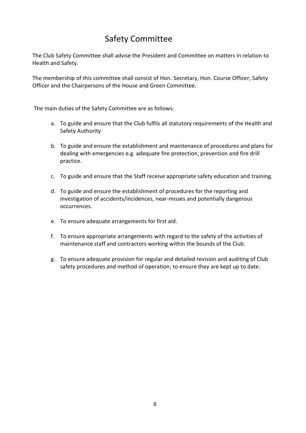## Safety Committee

The Club Safety Committee shall advise the President and Committee on matters in relation to Health and Safety.

The membership of this committee shall consist of Hon. Secretary, Hon. Course Officer, Safety Officer and the Chairpersons of the House and Green Committee.

The main duties of the Safety Committee are as follows:

- a. To guide and ensure that the Club fulfils all statutory requirements of the Health and Safety Authority
- b. To guide and ensure the establishment and maintenance of procedures and plans for dealing with emergencies e.g. adequate fire protection, prevention and fire drill practice.
- c. To guide and ensure that the Staff receive appropriate safety education and training.
- d. To guide and ensure the establishment of procedures for the reporting and investigation of accidents/incidences, near-misses and potentially dangerous occurrences.
- e. To ensure adequate arrangements for first aid.
- f. To ensure appropriate arrangements with regard to the safety of the activities of maintenance staff and contractors working within the bounds of the Club.
- g. To ensure adequate provision for regular and detailed revision and auditing of Club safety procedures and method of operation; to ensure they are kept up to date.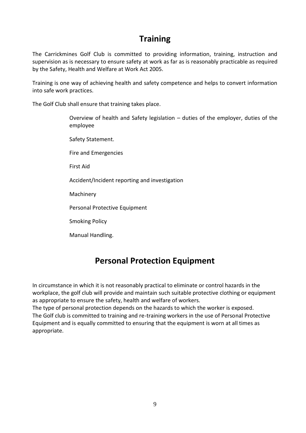### **Training**

The Carrickmines Golf Club is committed to providing information, training, instruction and supervision as is necessary to ensure safety at work as far as is reasonably practicable as required by the Safety, Health and Welfare at Work Act 2005.

Training is one way of achieving health and safety competence and helps to convert information into safe work practices.

The Golf Club shall ensure that training takes place.

Overview of health and Safety legislation – duties of the employer, duties of the employee Safety Statement. Fire and Emergencies First Aid Accident/Incident reporting and investigation Machinery Personal Protective Equipment Smoking Policy Manual Handling.

### **Personal Protection Equipment**

In circumstance in which it is not reasonably practical to eliminate or control hazards in the workplace, the golf club will provide and maintain such suitable protective clothing or equipment as appropriate to ensure the safety, health and welfare of workers.

The type of personal protection depends on the hazards to which the worker is exposed. The Golf club is committed to training and re-training workers in the use of Personal Protective Equipment and is equally committed to ensuring that the equipment is worn at all times as appropriate.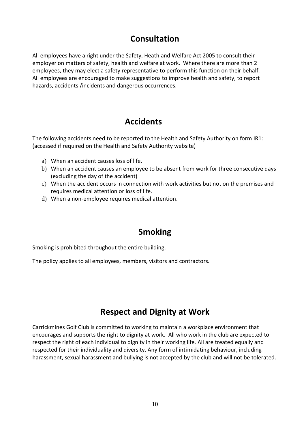## **Consultation**

All employees have a right under the Safety, Heath and Welfare Act 2005 to consult their employer on matters of safety, health and welfare at work. Where there are more than 2 employees, they may elect a safety representative to perform this function on their behalf. All employees are encouraged to make suggestions to improve health and safety, to report hazards, accidents /incidents and dangerous occurrences.

## **Accidents**

The following accidents need to be reported to the Health and Safety Authority on form IR1: (accessed if required on the Health and Safety Authority website)

- a) When an accident causes loss of life.
- b) When an accident causes an employee to be absent from work for three consecutive days (excluding the day of the accident)
- c) When the accident occurs in connection with work activities but not on the premises and requires medical attention or loss of life.
- d) When a non-employee requires medical attention.

## **Smoking**

Smoking is prohibited throughout the entire building.

The policy applies to all employees, members, visitors and contractors.

### **Respect and Dignity at Work**

Carrickmines Golf Club is committed to working to maintain a workplace environment that encourages and supports the right to dignity at work. All who work in the club are expected to respect the right of each individual to dignity in their working life. All are treated equally and respected for their individuality and diversity. Any form of intimidating behaviour, including harassment, sexual harassment and bullying is not accepted by the club and will not be tolerated.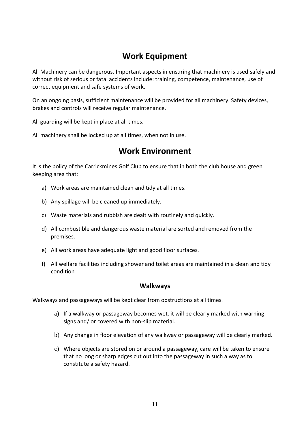### **Work Equipment**

All Machinery can be dangerous. Important aspects in ensuring that machinery is used safely and without risk of serious or fatal accidents include: training, competence, maintenance, use of correct equipment and safe systems of work.

On an ongoing basis, sufficient maintenance will be provided for all machinery. Safety devices, brakes and controls will receive regular maintenance.

All guarding will be kept in place at all times.

All machinery shall be locked up at all times, when not in use.

### **Work Environment**

It is the policy of the Carrickmines Golf Club to ensure that in both the club house and green keeping area that:

- a) Work areas are maintained clean and tidy at all times.
- b) Any spillage will be cleaned up immediately.
- c) Waste materials and rubbish are dealt with routinely and quickly.
- d) All combustible and dangerous waste material are sorted and removed from the premises.
- e) All work areas have adequate light and good floor surfaces.
- f) All welfare facilities including shower and toilet areas are maintained in a clean and tidy condition

#### **Walkways**

Walkways and passageways will be kept clear from obstructions at all times.

- a) If a walkway or passageway becomes wet, it will be clearly marked with warning signs and/ or covered with non-slip material.
- b) Any change in floor elevation of any walkway or passageway will be clearly marked.
- c) Where objects are stored on or around a passageway, care will be taken to ensure that no long or sharp edges cut out into the passageway in such a way as to constitute a safety hazard.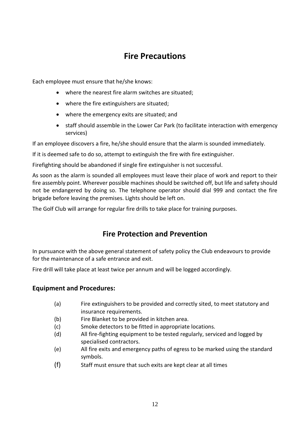### **Fire Precautions**

Each employee must ensure that he/she knows:

- where the nearest fire alarm switches are situated;
- where the fire extinguishers are situated;
- where the emergency exits are situated; and
- staff should assemble in the Lower Car Park (to facilitate interaction with emergency services)

If an employee discovers a fire, he/she should ensure that the alarm is sounded immediately.

If it is deemed safe to do so, attempt to extinguish the fire with fire extinguisher.

Firefighting should be abandoned if single fire extinguisher is not successful.

As soon as the alarm is sounded all employees must leave their place of work and report to their fire assembly point. Wherever possible machines should be switched off, but life and safety should not be endangered by doing so. The telephone operator should dial 999 and contact the fire brigade before leaving the premises. Lights should be left on.

The Golf Club will arrange for regular fire drills to take place for training purposes.

### **Fire Protection and Prevention**

In pursuance with the above general statement of safety policy the Club endeavours to provide for the maintenance of a safe entrance and exit.

Fire drill will take place at least twice per annum and will be logged accordingly.

### **Equipment and Procedures:**

- (a) Fire extinguishers to be provided and correctly sited, to meet statutory and insurance requirements.
- (b) Fire Blanket to be provided in kitchen area.
- (c) Smoke detectors to be fitted in appropriate locations.
- (d) All fire-fighting equipment to be tested regularly, serviced and logged by specialised contractors.
- (e) All fire exits and emergency paths of egress to be marked using the standard symbols.
- (f) Staff must ensure that such exits are kept clear at all times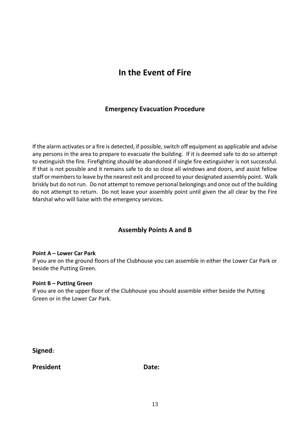### **In the Event of Fire**

### **Emergency Evacuation Procedure**

If the alarm activates or a fire is detected, if possible, switch off equipment as applicable and advise any persons in the area to prepare to evacuate the building. If it is deemed safe to do so attempt to extinguish the fire. Firefighting should be abandoned if single fire extinguisher is not successful. If that is not possible and it remains safe to do so close all windows and doors, and assist fellow staff or members to leave by the nearest exit and proceed to your designated assembly point. Walk briskly but do not run. Do not attempt to remove personal belongings and once out of the building do not attempt to return. Do not leave your assembly point until given the all clear by the Fire Marshal who will liaise with the emergency services.

### **Assembly Points A and B**

#### **Point A – Lower Car Park**

If you are on the ground floors of the Clubhouse you can assemble in either the Lower Car Park or beside the Putting Green.

#### **Point B – Putting Green**

If you are on the upper floor of the Clubhouse you should assemble either beside the Putting Green or in the Lower Car Park.

**Signed:**

**President Date: Date:**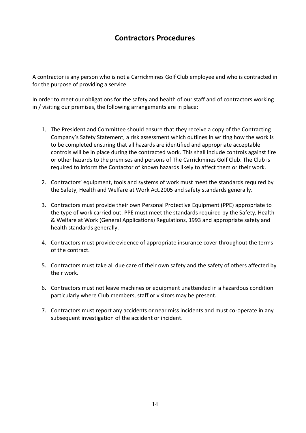### **Contractors Procedures**

A contractor is any person who is not a Carrickmines Golf Club employee and who is contracted in for the purpose of providing a service.

In order to meet our obligations for the safety and health of our staff and of contractors working in / visiting our premises, the following arrangements are in place:

- 1. The President and Committee should ensure that they receive a copy of the Contracting Company's Safety Statement, a risk assessment which outlines in writing how the work is to be completed ensuring that all hazards are identified and appropriate acceptable controls will be in place during the contracted work. This shall include controls against fire or other hazards to the premises and persons of The Carrickmines Golf Club. The Club is required to inform the Contactor of known hazards likely to affect them or their work.
- 2. Contractors' equipment, tools and systems of work must meet the standards required by the Safety, Health and Welfare at Work Act.2005 and safety standards generally.
- 3. Contractors must provide their own Personal Protective Equipment (PPE) appropriate to the type of work carried out. PPE must meet the standards required by the Safety, Health & Welfare at Work (General Applications) Regulations, 1993 and appropriate safety and health standards generally.
- 4. Contractors must provide evidence of appropriate insurance cover throughout the terms of the contract.
- 5. Contractors must take all due care of their own safety and the safety of others affected by their work.
- 6. Contractors must not leave machines or equipment unattended in a hazardous condition particularly where Club members, staff or visitors may be present.
- 7. Contractors must report any accidents or near miss incidents and must co-operate in any subsequent investigation of the accident or incident.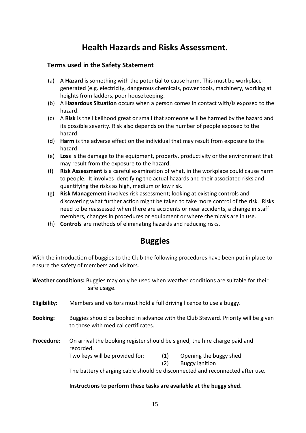### **Health Hazards and Risks Assessment.**

### **Terms used in the Safety Statement**

- (a) A **Hazard** is something with the potential to cause harm. This must be workplacegenerated (e.g. electricity, dangerous chemicals, power tools, machinery, working at heights from ladders, poor housekeeping.
- (b) A **Hazardous Situation** occurs when a person comes in contact with/is exposed to the hazard.
- (c) A **Risk** is the likelihood great or small that someone will be harmed by the hazard and its possible severity. Risk also depends on the number of people exposed to the hazard.
- (d) **Harm** is the adverse effect on the individual that may result from exposure to the hazard.
- (e) **Loss** is the damage to the equipment, property, productivity or the environment that may result from the exposure to the hazard.
- (f) **Risk Assessment** is a careful examination of what, in the workplace could cause harm to people. It involves identifying the actual hazards and their associated risks and quantifying the risks as high, medium or low risk.
- (g) **Risk Management** involves risk assessment; looking at existing controls and discovering what further action might be taken to take more control of the risk. Risks need to be reassessed when there are accidents or near accidents, a change in staff members, changes in procedures or equipment or where chemicals are in use.
- (h) **Controls** are methods of eliminating hazards and reducing risks.

### **Buggies**

With the introduction of buggies to the Club the following procedures have been put in place to ensure the safety of members and visitors.

**Weather conditions:** Buggies may only be used when weather conditions are suitable for their safe usage.

- **Eligibility:** Members and visitors must hold a full driving licence to use a buggy.
- **Booking:** Buggies should be booked in advance with the Club Steward. Priority will be given to those with medical certificates.

**Procedure:** On arrival the booking register should be signed, the hire charge paid and recorded. Two keys will be provided for: (1) Opening the buggy shed

(2) Buggy ignition

The battery charging cable should be disconnected and reconnected after use.

#### **Instructions to perform these tasks are available at the buggy shed.**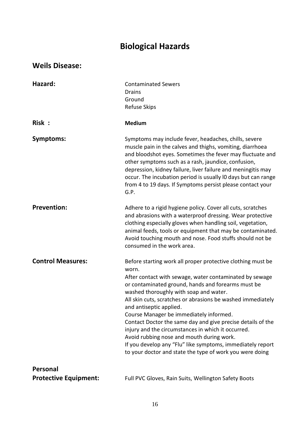## **Biological Hazards**

### **Weils Disease:**

| Hazard:                                  | <b>Contaminated Sewers</b><br><b>Drains</b><br>Ground<br><b>Refuse Skips</b>                                                                                                                                                                                                                                                                                                                                                                                                                                                                                                                                                                                     |
|------------------------------------------|------------------------------------------------------------------------------------------------------------------------------------------------------------------------------------------------------------------------------------------------------------------------------------------------------------------------------------------------------------------------------------------------------------------------------------------------------------------------------------------------------------------------------------------------------------------------------------------------------------------------------------------------------------------|
| Risk:                                    | <b>Medium</b>                                                                                                                                                                                                                                                                                                                                                                                                                                                                                                                                                                                                                                                    |
| Symptoms:                                | Symptoms may include fever, headaches, chills, severe<br>muscle pain in the calves and thighs, vomiting, diarrhoea<br>and bloodshot eyes. Sometimes the fever may fluctuate and<br>other symptoms such as a rash, jaundice, confusion,<br>depression, kidney failure, liver failure and meningitis may<br>occur. The incubation period is usually IO days but can range<br>from 4 to 19 days. If Symptoms persist please contact your<br>G.P.                                                                                                                                                                                                                    |
| <b>Prevention:</b>                       | Adhere to a rigid hygiene policy. Cover all cuts, scratches<br>and abrasions with a waterproof dressing. Wear protective<br>clothing especially gloves when handling soil, vegetation,<br>animal feeds, tools or equipment that may be contaminated.<br>Avoid touching mouth and nose. Food stuffs should not be<br>consumed in the work area.                                                                                                                                                                                                                                                                                                                   |
| <b>Control Measures:</b>                 | Before starting work all proper protective clothing must be<br>worn.<br>After contact with sewage, water contaminated by sewage<br>or contaminated ground, hands and forearms must be<br>washed thoroughly with soap and water.<br>All skin cuts, scratches or abrasions be washed immediately<br>and antiseptic applied.<br>Course Manager be immediately informed.<br>Contact Doctor the same day and give precise details of the<br>injury and the circumstances in which it occurred.<br>Avoid rubbing nose and mouth during work.<br>If you develop any "Flu" like symptoms, immediately report<br>to your doctor and state the type of work you were doing |
| Personal<br><b>Protective Equipment:</b> | Full PVC Gloves, Rain Suits, Wellington Safety Boots                                                                                                                                                                                                                                                                                                                                                                                                                                                                                                                                                                                                             |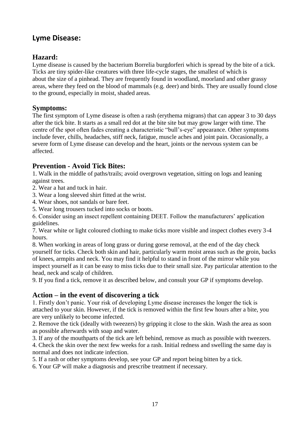### **Lyme Disease:**

### **Hazard:**

Lyme disease is caused by the bacterium Borrelia burgdorferi which is spread by the bite of a tick. Ticks are tiny spider-like creatures with three life-cycle stages, the smallest of which is about the size of a pinhead. They are frequently found in woodland, moorland and other grassy areas, where they feed on the blood of mammals (e.g. deer) and birds. They are usually found close to the ground, especially in moist, shaded areas.

### **Symptoms:**

The first symptom of Lyme disease is often a rash (erythema migrans) that can appear 3 to 30 days after the tick bite. It starts as a small red dot at the bite site but may grow larger with time. The centre of the spot often fades creating a characteristic "bull's-eye" appearance. Other symptoms include fever, chills, headaches, stiff neck, fatigue, muscle aches and joint pain. Occasionally, a severe form of Lyme disease can develop and the heart, joints or the nervous system can be affected.

### **Prevention - Avoid Tick Bites:**

1. Walk in the middle of paths/trails; avoid overgrown vegetation, sitting on logs and leaning against trees.

2. Wear a hat and tuck in hair.

3. Wear a long sleeved shirt fitted at the wrist.

- 4. Wear shoes, not sandals or bare feet.
- 5. Wear long trousers tucked into socks or boots.

6. Consider using an insect repellent containing DEET. Follow the manufacturers' application guidelines.

7. Wear white or light coloured clothing to make ticks more visible and inspect clothes every 3-4 hours.

8. When working in areas of long grass or during gorse removal, at the end of the day check yourself for ticks. Check both skin and hair, particularly warm moist areas such as the groin, backs of knees, armpits and neck. You may find it helpful to stand in front of the mirror while you inspect yourself as it can be easy to miss ticks due to their small size. Pay particular attention to the head, neck and scalp of children.

9. If you find a tick, remove it as described below, and consult your GP if symptoms develop.

### **Action – in the event of discovering a tick**

1. Firstly don't panic. Your risk of developing Lyme disease increases the longer the tick is attached to your skin. However, if the tick is removed within the first few hours after a bite, you are very unlikely to become infected.

2. Remove the tick (ideally with tweezers) by gripping it close to the skin. Wash the area as soon as possible afterwards with soap and water.

3. If any of the mouthparts of the tick are left behind, remove as much as possible with tweezers.

4. Check the skin over the next few weeks for a rash. Initial redness and swelling the same day is normal and does not indicate infection.

5. If a rash or other symptoms develop, see your GP and report being bitten by a tick.

6. Your GP will make a diagnosis and prescribe treatment if necessary.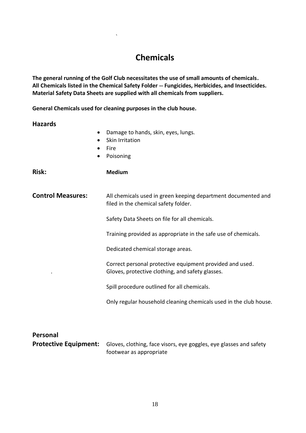### **Chemicals**

**The general running of the Golf Club necessitates the use of small amounts of chemicals. All Chemicals listed in the Chemical Safety Folder -- Fungicides, Herbicides, and Insecticides. Material Safety Data Sheets are supplied with all chemicals from suppliers.** 

**General Chemicals used for cleaning purposes in the club house.**

`

#### **Hazards**

- Damage to hands, skin, eyes, lungs.
- Skin Irritation
- Fire
- Poisoning

**Risk: Medium**

**Control Measures:** All chemicals used in green keeping department documented and filed in the chemical safety folder.

Safety Data Sheets on file for all chemicals.

Training provided as appropriate in the safe use of chemicals.

Dedicated chemical storage areas.

Correct personal protective equipment provided and used. . Gloves, protective clothing, and safety glasses.

Spill procedure outlined for all chemicals.

Only regular household cleaning chemicals used in the club house.

| Personal |                                                                                                 |
|----------|-------------------------------------------------------------------------------------------------|
|          | <b>Protective Equipment:</b> Gloves, clothing, face visors, eye goggles, eye glasses and safety |
|          | footwear as appropriate                                                                         |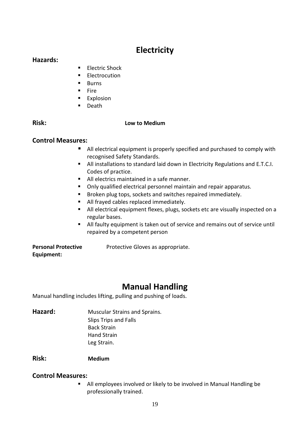### **Electricity**

### **Hazards:**

- **Electric Shock**
- **Electrocution**
- **Burns**
- $Fire$
- **Explosion**
- **Death**

### **Risk: Low to Medium**

### **Control Measures:**

- All electrical equipment is properly specified and purchased to comply with recognised Safety Standards.
- All installations to standard laid down in Electricity Regulations and E.T.C.I. Codes of practice.
- All electrics maintained in a safe manner.
- **Dialible 1** Only qualified electrical personnel maintain and repair apparatus.
- **Broken plug tops, sockets and switches repaired immediately.**
- All frayed cables replaced immediately.
- All electrical equipment flexes, plugs, sockets etc are visually inspected on a regular bases.
- All faulty equipment is taken out of service and remains out of service until repaired by a competent person

# **Equipment:**

**Personal Protective** Protective Gloves as appropriate.

# **Manual Handling**

Manual handling includes lifting, pulling and pushing of loads.

Hazard: Muscular Strains and Sprains. Slips Trips and Falls Back Strain Hand Strain Leg Strain.

### **Risk: Medium**

### **Control Measures:**

 All employees involved or likely to be involved in Manual Handling be professionally trained.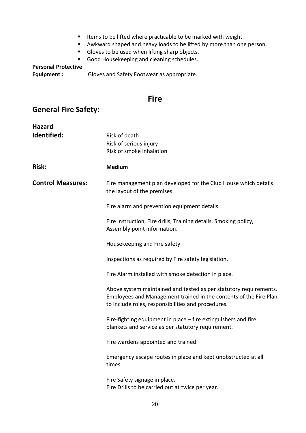- Items to be lifted where practicable to be marked with weight.
- Awkward shaped and heavy loads to be lifted by more than one person.
- Gloves to be used when lifting sharp objects.
- Good Housekeeping and cleaning schedules.

### **Personal Protective**

**Equipment :** Gloves and Safety Footwear as appropriate.

### **Fire**

### **General Fire Safety:**

| <b>Hazard</b>            |                                                                                                                                                                                              |
|--------------------------|----------------------------------------------------------------------------------------------------------------------------------------------------------------------------------------------|
| Identified:              | Risk of death<br>Risk of serious injury<br>Risk of smoke inhalation                                                                                                                          |
| <b>Risk:</b>             | <b>Medium</b>                                                                                                                                                                                |
| <b>Control Measures:</b> | Fire management plan developed for the Club House which details<br>the layout of the premises.                                                                                               |
|                          | Fire alarm and prevention equipment details.                                                                                                                                                 |
|                          | Fire instruction, Fire drills, Training details, Smoking policy,<br>Assembly point information.                                                                                              |
|                          | Housekeeping and Fire safety                                                                                                                                                                 |
|                          | Inspections as required by Fire safety legislation.                                                                                                                                          |
|                          | Fire Alarm installed with smoke detection in place.                                                                                                                                          |
|                          | Above system maintained and tested as per statutory requirements.<br>Employees and Management trained in the contents of the Fire Plan<br>to include roles, responsibilities and procedures. |
|                          | Fire-fighting equipment in place - fire extinguishers and fire<br>blankets and service as per statutory requirement.                                                                         |
|                          | Fire wardens appointed and trained.                                                                                                                                                          |
|                          | Emergency escape routes in place and kept unobstructed at all<br>times.                                                                                                                      |
|                          | Fire Safety signage in place.<br>Fire Drills to be carried out at twice per year.                                                                                                            |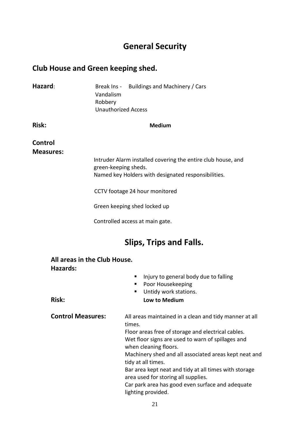### **General Security**

### **Club House and Green keeping shed.**

| Hazard:                     | Vandalism<br>Robbery<br><b>Unauthorized Access</b> | Break Ins - Buildings and Machinery / Cars                                                                                                                                                                                                                                          |  |  |
|-----------------------------|----------------------------------------------------|-------------------------------------------------------------------------------------------------------------------------------------------------------------------------------------------------------------------------------------------------------------------------------------|--|--|
| <b>Risk:</b>                |                                                    | <b>Medium</b>                                                                                                                                                                                                                                                                       |  |  |
| Control<br><b>Measures:</b> |                                                    | Intruder Alarm installed covering the entire club house, and                                                                                                                                                                                                                        |  |  |
|                             |                                                    | green-keeping sheds.<br>Named key Holders with designated responsibilities.                                                                                                                                                                                                         |  |  |
|                             |                                                    | CCTV footage 24 hour monitored                                                                                                                                                                                                                                                      |  |  |
|                             |                                                    | Green keeping shed locked up                                                                                                                                                                                                                                                        |  |  |
|                             |                                                    | Controlled access at main gate.                                                                                                                                                                                                                                                     |  |  |
|                             |                                                    | <b>Slips, Trips and Falls.</b>                                                                                                                                                                                                                                                      |  |  |
| <b>Hazards:</b>             | All areas in the Club House.                       |                                                                                                                                                                                                                                                                                     |  |  |
|                             |                                                    | Injury to general body due to falling<br>Poor Housekeeping<br>Untidy work stations.<br>п                                                                                                                                                                                            |  |  |
| <b>Risk:</b>                |                                                    | Low to Medium                                                                                                                                                                                                                                                                       |  |  |
| <b>Control Measures:</b>    |                                                    | All areas maintained in a clean and tidy manner at all<br>times.<br>Floor areas free of storage and electrical cables.<br>Wet floor signs are used to warn of spillages and<br>when cleaning floors.<br>Machinery shed and all associated areas kept neat and<br>tidy at all times. |  |  |

Bar area kept neat and tidy at all times with storage area used for storing all supplies.

Car park area has good even surface and adequate lighting provided.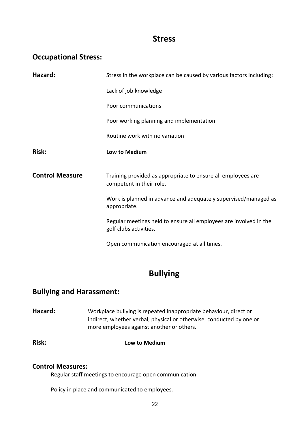### **Stress**

### **Occupational Stress:**

| Hazard:                | Stress in the workplace can be caused by various factors including:                         |  |  |
|------------------------|---------------------------------------------------------------------------------------------|--|--|
|                        | Lack of job knowledge                                                                       |  |  |
|                        | Poor communications                                                                         |  |  |
|                        | Poor working planning and implementation                                                    |  |  |
|                        | Routine work with no variation                                                              |  |  |
| <b>Risk:</b>           | Low to Medium                                                                               |  |  |
|                        |                                                                                             |  |  |
| <b>Control Measure</b> | Training provided as appropriate to ensure all employees are<br>competent in their role.    |  |  |
|                        | Work is planned in advance and adequately supervised/managed as<br>appropriate.             |  |  |
|                        | Regular meetings held to ensure all employees are involved in the<br>golf clubs activities. |  |  |

### **Bullying**

### **Bullying and Harassment:**

**Hazard:** Workplace bullying is repeated inappropriate behaviour, direct or indirect, whether verbal, physical or otherwise, conducted by one or more employees against another or others.

**Risk: Low to Medium**

### **Control Measures:**

Regular staff meetings to encourage open communication.

Policy in place and communicated to employees.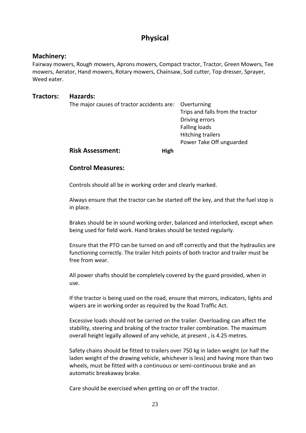### **Physical**

#### **Machinery:**

Fairway mowers, Rough mowers, Aprons mowers, Compact tractor, Tractor, Green Mowers, Tee mowers, Aerator, Hand mowers, Rotary mowers, Chainsaw, Sod cutter, Top dresser, Sprayer, Weed eater.

#### **Tractors: Hazards:**

| The major causes of tractor accidents are: | Overturning                      |
|--------------------------------------------|----------------------------------|
|                                            | Trips and falls from the tractor |
|                                            | Driving errors                   |
|                                            | <b>Falling loads</b>             |
|                                            | <b>Hitching trailers</b>         |
|                                            | Power Take Off unguarded         |
| <b>Risk Assessment:</b>                    | High                             |

#### **Control Measures:**

Controls should all be in working order and clearly marked.

Always ensure that the tractor can be started off the key, and that the fuel stop is in place.

Brakes should be in sound working order, balanced and interlocked, except when being used for field work. Hand brakes should be tested regularly.

Ensure that the PTO can be turned on and off correctly and that the hydraulics are functioning correctly. The trailer hitch points of both tractor and trailer must be free from wear.

All power shafts should be completely covered by the guard provided, when in use.

If the tractor is being used on the road, ensure that mirrors, indicators, lights and wipers are in working order as required by the Road Traffic Act.

Excessive loads should not be carried on the trailer. Overloading can affect the stability, steering and braking of the tractor trailer combination. The maximum overall height legally allowed of any vehicle, at present , is 4.25 metres.

Safety chains should be fitted to trailers over 750 kg in laden weight (or half the laden weight of the drawing vehicle, whichever is less) and having more than two wheels, must be fitted with a continuous or semi-continuous brake and an automatic breakaway brake.

Care should be exercised when getting on or off the tractor.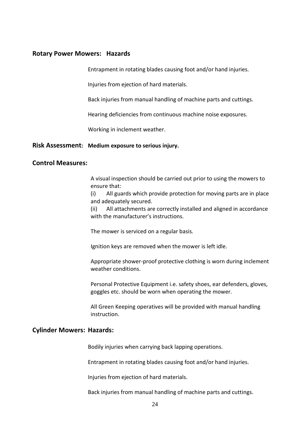#### **Rotary Power Mowers: Hazards**

Entrapment in rotating blades causing foot and/or hand injuries.

Injuries from ejection of hard materials.

Back injuries from manual handling of machine parts and cuttings.

Hearing deficiencies from continuous machine noise exposures.

Working in inclement weather.

#### **Risk Assessment: Medium exposure to serious injury.**

#### **Control Measures:**

A visual inspection should be carried out prior to using the mowers to ensure that:

(i) All guards which provide protection for moving parts are in place and adequately secured.

(ii) All attachments are correctly installed and aligned in accordance with the manufacturer's instructions.

The mower is serviced on a regular basis.

Ignition keys are removed when the mower is left idle.

Appropriate shower-proof protective clothing is worn during inclement weather conditions.

Personal Protective Equipment i.e. safety shoes, ear defenders, gloves, goggles etc. should be worn when operating the mower.

All Green Keeping operatives will be provided with manual handling instruction.

#### **Cylinder Mowers: Hazards:**

Bodily injuries when carrying back lapping operations.

Entrapment in rotating blades causing foot and/or hand injuries.

Injuries from ejection of hard materials.

Back injuries from manual handling of machine parts and cuttings.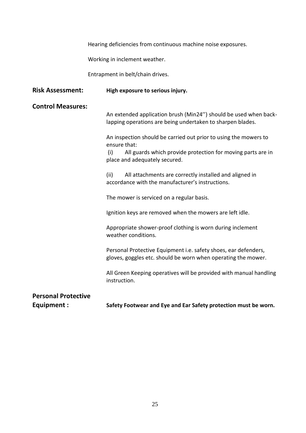Hearing deficiencies from continuous machine noise exposures.

Working in inclement weather.

Entrapment in belt/chain drives.

| <b>Risk Assessment:</b>                         | High exposure to serious injury.                                                                                                                                                        |  |  |
|-------------------------------------------------|-----------------------------------------------------------------------------------------------------------------------------------------------------------------------------------------|--|--|
| <b>Control Measures:</b>                        | An extended application brush (Min24") should be used when back-<br>lapping operations are being undertaken to sharpen blades.                                                          |  |  |
|                                                 | An inspection should be carried out prior to using the mowers to<br>ensure that:<br>All guards which provide protection for moving parts are in<br>(i)<br>place and adequately secured. |  |  |
|                                                 | All attachments are correctly installed and aligned in<br>(ii)<br>accordance with the manufacturer's instructions.                                                                      |  |  |
|                                                 | The mower is serviced on a regular basis.                                                                                                                                               |  |  |
|                                                 | Ignition keys are removed when the mowers are left idle.                                                                                                                                |  |  |
|                                                 | Appropriate shower-proof clothing is worn during inclement<br>weather conditions.                                                                                                       |  |  |
|                                                 | Personal Protective Equipment i.e. safety shoes, ear defenders,<br>gloves, goggles etc. should be worn when operating the mower.                                                        |  |  |
|                                                 | All Green Keeping operatives will be provided with manual handling<br>instruction.                                                                                                      |  |  |
| <b>Personal Protective</b><br><b>Equipment:</b> | Safety Footwear and Eye and Ear Safety protection must be worn.                                                                                                                         |  |  |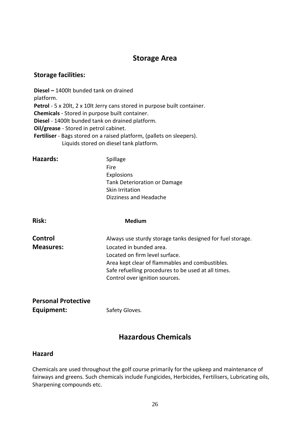### **Storage Area**

#### **Storage facilities:**

**Diesel –** 1400lt bunded tank on drained platform. **Petrol** - 5 x 20lt, 2 x 10lt Jerry cans stored in purpose built container. **Chemicals** - Stored in purpose built container. **Diesel** - 1400lt bunded tank on drained platform. **Oil/grease** - Stored in petrol cabinet. **Fertiliser** - Bags stored on a raised platform, (pallets on sleepers). Liquids stored on diesel tank platform.

| Hazards:                    | Spillage<br><b>Fire</b><br><b>Explosions</b><br><b>Tank Deterioration or Damage</b><br>Skin Irritation<br>Dizziness and Headache                                                                                                                                    |
|-----------------------------|---------------------------------------------------------------------------------------------------------------------------------------------------------------------------------------------------------------------------------------------------------------------|
| <b>Risk:</b>                | <b>Medium</b>                                                                                                                                                                                                                                                       |
| Control<br><b>Measures:</b> | Always use sturdy storage tanks designed for fuel storage.<br>Located in bunded area.<br>Located on firm level surface.<br>Area kept clear of flammables and combustibles.<br>Safe refuelling procedures to be used at all times.<br>Control over ignition sources. |
| <b>Personal Protective</b>  |                                                                                                                                                                                                                                                                     |

**Equipment:** Safety Gloves.

### **Hazardous Chemicals**

### **Hazard**

Chemicals are used throughout the golf course primarily for the upkeep and maintenance of fairways and greens. Such chemicals include Fungicides, Herbicides, Fertilisers, Lubricating oils, Sharpening compounds etc.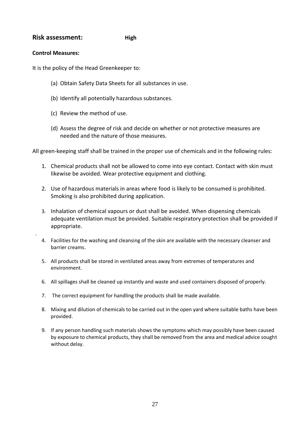#### **Risk assessment:** High

#### **Control Measures:**

.

It is the policy of the Head Greenkeeper to:

- (a) Obtain Safety Data Sheets for all substances in use.
- (b) Identify all potentially hazardous substances.
- (c) Review the method of use.
- (d) Assess the degree of risk and decide on whether or not protective measures are needed and the nature of those measures.

All green-keeping staff shall be trained in the proper use of chemicals and in the following rules:

- 1. Chemical products shall not be allowed to come into eye contact. Contact with skin must likewise be avoided. Wear protective equipment and clothing.
- 2. Use of hazardous materials in areas where food is likely to be consumed is prohibited. Smoking is also prohibited during application.
- 3. Inhalation of chemical vapours or dust shall be avoided. When dispensing chemicals adequate ventilation must be provided. Suitable respiratory protection shall be provided if appropriate.
- 4. Facilities for the washing and cleansing of the skin are available with the necessary cleanser and barrier creams.
- 5. All products shall be stored in ventilated areas away from extremes of temperatures and environment.
- 6. All spillages shall be cleaned up instantly and waste and used containers disposed of properly.
- 7. The correct equipment for handling the products shall be made available.
- 8. Mixing and dilution of chemicals to be carried out in the open yard where suitable baths have been provided.
- 9. If any person handling such materials shows the symptoms which may possibly have been caused by exposure to chemical products, they shall be removed from the area and medical advice sought without delay.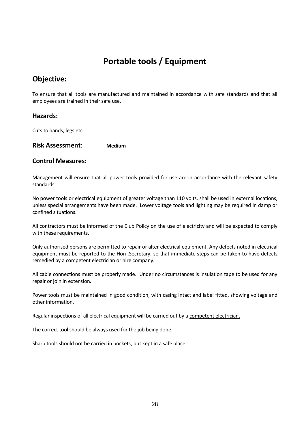## **Portable tools / Equipment**

### **Objective:**

To ensure that all tools are manufactured and maintained in accordance with safe standards and that all employees are trained in their safe use.

#### **Hazards:**

Cuts to hands, legs etc.

#### **Risk Assessment**: **Medium**

#### **Control Measures:**

Management will ensure that all power tools provided for use are in accordance with the relevant safety standards.

No power tools or electrical equipment of greater voltage than 110 volts, shall be used in external locations, unless special arrangements have been made. Lower voltage tools and lighting may be required in damp or confined situations.

All contractors must be informed of the Club Policy on the use of electricity and will be expected to comply with these requirements.

Only authorised persons are permitted to repair or alter electrical equipment. Any defects noted in electrical equipment must be reported to the Hon .Secretary, so that immediate steps can be taken to have defects remedied by a competent electrician or hire company.

All cable connections must be properly made. Under no circumstances is insulation tape to be used for any repair or join in extension.

Power tools must be maintained in good condition, with casing intact and label fitted, showing voltage and other information.

Regular inspections of all electrical equipment will be carried out by a competent electrician.

The correct tool should be always used for the job being done.

Sharp tools should not be carried in pockets, but kept in a safe place.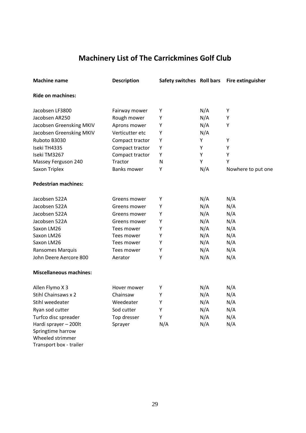### **Machinery List of The Carrickmines Golf Club**

| <b>Machine name</b>                   | <b>Description</b> | Safety switches Roll bars |     | <b>Fire extinguisher</b> |
|---------------------------------------|--------------------|---------------------------|-----|--------------------------|
| <b>Ride on machines:</b>              |                    |                           |     |                          |
| Jacobsen LF3800                       | Fairway mower      | Υ                         | N/A | Υ                        |
| Jacobsen AR250                        | Rough mower        | Υ                         | N/A | Υ                        |
| Jacobsen Greensking MKIV              | Aprons mower       | Υ                         | N/A | Υ                        |
| Jacobsen Greensking MKIV              | Verticutter etc    | Υ                         | N/A |                          |
| Ruboto B3030                          | Compact tractor    | Υ                         | Υ   | Υ                        |
| Iseki TH4335                          | Compact tractor    | Υ                         | Υ   | Υ                        |
| Iseki TM3267                          | Compact tractor    | Υ                         | Y   | Y                        |
| Massey Ferguson 240                   | Tractor            | $\mathsf{N}$              | Υ   | Υ                        |
| Saxon Triplex                         | <b>Banks mower</b> | Υ                         | N/A | Nowhere to put one       |
| <b>Pedestrian machines:</b>           |                    |                           |     |                          |
| Jacobsen 522A                         | Greens mower       | Υ                         | N/A | N/A                      |
| Jacobsen 522A                         | Greens mower       | Υ                         | N/A | N/A                      |
| Jacobsen 522A                         | Greens mower       | Υ                         | N/A | N/A                      |
| Jacobsen 522A                         | Greens mower       | Υ                         | N/A | N/A                      |
| Saxon LM26                            | Tees mower         | Υ                         | N/A | N/A                      |
| Saxon LM26                            | Tees mower         | Υ                         | N/A | N/A                      |
| Saxon LM26                            | Tees mower         | Υ                         | N/A | N/A                      |
| Ransomes Marquis                      | Tees mower         | Υ                         | N/A | N/A                      |
| John Deere Aercore 800                | Aerator            | Υ                         | N/A | N/A                      |
| <b>Miscellaneous machines:</b>        |                    |                           |     |                          |
| Allen Flymo X 3                       | Hover mower        | Υ                         | N/A | N/A                      |
| Stihl Chainsaws x 2                   | Chainsaw           | Υ                         | N/A | N/A                      |
| Stihl weedeater                       | Weedeater          | Υ                         | N/A | N/A                      |
| Ryan sod cutter                       | Sod cutter         | Υ                         | N/A | N/A                      |
| Turfco disc spreader                  | Top dresser        | Υ                         | N/A | N/A                      |
| Hardi sprayer - 200lt                 | Sprayer            | N/A                       | N/A | N/A                      |
| Springtime harrow<br>Wheeled strimmer |                    |                           |     |                          |

Transport box - trailer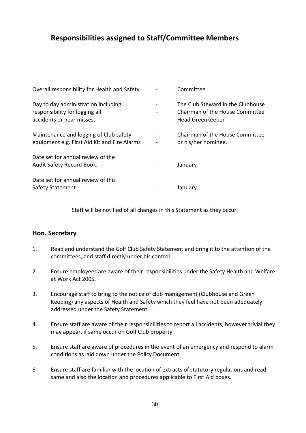### **Responsibilities assigned to Staff/Committee Members**

| Overall responsibility for Health and Safety                                                       | Committee                                                                                |
|----------------------------------------------------------------------------------------------------|------------------------------------------------------------------------------------------|
| Day to day administration including<br>responsibility for logging all<br>accidents or near misses. | The Club Steward in the Clubhouse<br>Chairman of the House Committee<br>Head Greenkeeper |
| Maintenance and logging of Club safety<br>equipment e.g. First Aid Kit and Fire Alarms             | Chairman of the House Committee<br>or his/her nominee.                                   |
| Date set for annual review of the<br>Audit Safety Record Book.                                     | January                                                                                  |
| Date set for annual review of this<br>Safety Statement.                                            | January                                                                                  |

Staff will be notified of all changes in this Statement as they occur.

#### **Hon. Secretary**

- 1. Read and understand the Golf Club Safety Statement and bring it to the attention of the committees, and staff directly under his control.
- 2. Ensure employees are aware of their responsibilities under the Safety Health and Welfare at Work Act 2005.
- 3. Encourage staff to bring to the notice of club management (Clubhouse and Green Keeping) any aspects of Health and Safety which they feel have not been adequately addressed under the Safety Statement.
- 4. Ensure staff are aware of their responsibilities to report all accidents, however trivial they may appear, if same occur on Golf Club property.
- 5. Ensure staff are aware of procedures in the event of an emergency and respond to alarm conditions as laid down under the Policy Document.
- 6. Ensure staff are familiar with the location of extracts of statutory regulations and read same and also the location and procedures applicable to First Aid boxes.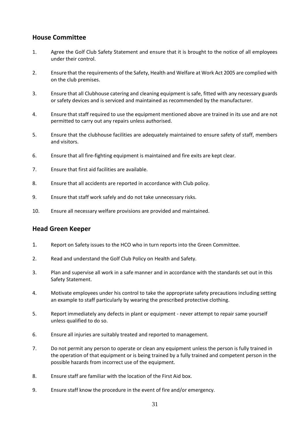#### **House Committee**

- 1. Agree the Golf Club Safety Statement and ensure that it is brought to the notice of all employees under their control.
- 2. Ensure that the requirements of the Safety, Health and Welfare at Work Act 2005 are complied with on the club premises.
- 3. Ensure that all Clubhouse catering and cleaning equipment is safe, fitted with any necessary guards or safety devices and is serviced and maintained as recommended by the manufacturer.
- 4. Ensure that staff required to use the equipment mentioned above are trained in its use and are not permitted to carry out any repairs unless authorised.
- 5. Ensure that the clubhouse facilities are adequately maintained to ensure safety of staff, members and visitors.
- 6. Ensure that all fire-fighting equipment is maintained and fire exits are kept clear.
- 7. Ensure that first aid facilities are available.
- 8. Ensure that all accidents are reported in accordance with Club policy.
- 9. Ensure that staff work safely and do not take unnecessary risks.
- 10. Ensure all necessary welfare provisions are provided and maintained.

#### **Head Green Keeper**

- 1. Report on Safety issues to the HCO who in turn reports into the Green Committee.
- 2. Read and understand the Golf Club Policy on Health and Safety.
- 3. Plan and supervise all work in a safe manner and in accordance with the standards set out in this Safety Statement.
- 4. Motivate employees under his control to take the appropriate safety precautions including setting an example to staff particularly by wearing the prescribed protective clothing.
- 5. Report immediately any defects in plant or equipment never attempt to repair same yourself unless qualified to do so.
- 6. Ensure all injuries are suitably treated and reported to management.
- 7. Do not permit any person to operate or clean any equipment unless the person is fully trained in the operation of that equipment or is being trained by a fully trained and competent person in the possible hazards from incorrect use of the equipment.
- 8. Ensure staff are familiar with the location of the First Aid box.
- 9. Ensure staff know the procedure in the event of fire and/or emergency.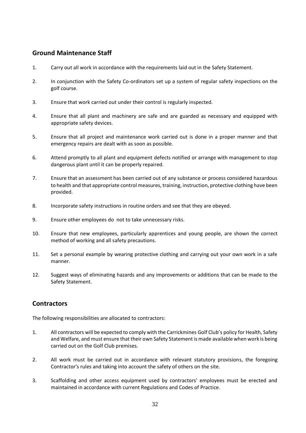### **Ground Maintenance Staff**

- 1. Carry out all work in accordance with the requirements laid out in the Safety Statement.
- 2. In conjunction with the Safety Co-ordinators set up a system of regular safety inspections on the golf course.
- 3. Ensure that work carried out under their control is regularly inspected.
- 4. Ensure that all plant and machinery are safe and are guarded as necessary and equipped with appropriate safety devices.
- 5. Ensure that all project and maintenance work carried out is done in a proper manner and that emergency repairs are dealt with as soon as possible.
- 6. Attend promptly to all plant and equipment defects notified or arrange with management to stop dangerous plant until it can be properly repaired.
- 7. Ensure that an assessment has been carried out of any substance or process considered hazardous to health and that appropriate control measures, training, instruction, protective clothing have been provided.
- 8. Incorporate safety instructions in routine orders and see that they are obeyed.
- 9. Ensure other employees do not to take unnecessary risks.
- 10. Ensure that new employees, particularly apprentices and young people, are shown the correct method of working and all safety precautions.
- 11. Set a personal example by wearing protective clothing and carrying out your own work in a safe manner.
- 12. Suggest ways of eliminating hazards and any improvements or additions that can be made to the Safety Statement.

### **Contractors**

The following responsibilities are allocated to contractors:

- 1. All contractors will be expected to comply with the Carrickmines Golf Club's policy for Health, Safety and Welfare, and must ensure that their own Safety Statement is made available when work is being carried out on the Golf Club premises.
- 2. All work must be carried out in accordance with relevant statutory provisions, the foregoing Contractor's rules and taking into account the safety of others on the site.
- 3. Scaffolding and other access equipment used by contractors' employees must be erected and maintained in accordance with current Regulations and Codes of Practice.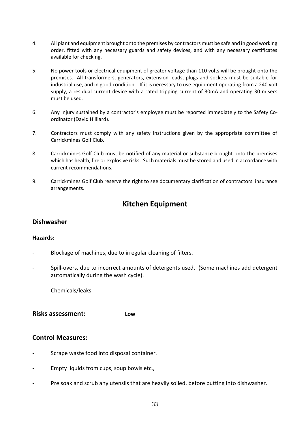- 4. All plant and equipment brought onto the premises by contractors must be safe and in good working order, fitted with any necessary guards and safety devices, and with any necessary certificates available for checking.
- 5. No power tools or electrical equipment of greater voltage than 110 volts will be brought onto the premises. All transformers, generators, extension leads, plugs and sockets must be suitable for industrial use, and in good condition. If it is necessary to use equipment operating from a 240 volt supply, a residual current device with a rated tripping current of 30mA and operating 30 m.secs must be used.
- 6. Any injury sustained by a contractor's employee must be reported immediately to the Safety Coordinator (David Hilliard).
- 7. Contractors must comply with any safety instructions given by the appropriate committee of Carrickmines Golf Club.
- 8. Carrickmines Golf Club must be notified of any material or substance brought onto the premises which has health, fire or explosive risks. Such materials must be stored and used in accordance with current recommendations.
- 9. Carrickmines Golf Club reserve the right to see documentary clarification of contractors' insurance arrangements.

### **Kitchen Equipment**

### **Dishwasher**

#### **Hazards:**

- Blockage of machines, due to irregular cleaning of filters.
- Spill-overs, due to incorrect amounts of detergents used. (Some machines add detergent automatically during the wash cycle).
- Chemicals/leaks.

**Risks assessment: Low**

#### **Control Measures:**

- Scrape waste food into disposal container.
- Empty liquids from cups, soup bowls etc.,
- Pre soak and scrub any utensils that are heavily soiled, before putting into dishwasher.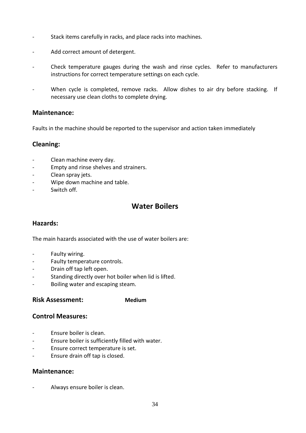- Stack items carefully in racks, and place racks into machines.
- Add correct amount of detergent.
- Check temperature gauges during the wash and rinse cycles. Refer to manufacturers instructions for correct temperature settings on each cycle.
- When cycle is completed, remove racks. Allow dishes to air dry before stacking. If necessary use clean cloths to complete drying.

#### **Maintenance:**

Faults in the machine should be reported to the supervisor and action taken immediately

#### **Cleaning:**

- Clean machine every day.
- Empty and rinse shelves and strainers.
- Clean spray jets.
- Wipe down machine and table.
- Switch off.

### **Water Boilers**

### **Hazards:**

The main hazards associated with the use of water boilers are:

- Faulty wiring.
- Faulty temperature controls.
- Drain off tap left open.
- Standing directly over hot boiler when lid is lifted.
- Boiling water and escaping steam.

#### **Risk Assessment: Medium**

#### **Control Measures:**

- Ensure boiler is clean.
- Ensure boiler is sufficiently filled with water.
- Ensure correct temperature is set.
- Ensure drain off tap is closed.

#### **Maintenance:**

Always ensure boiler is clean.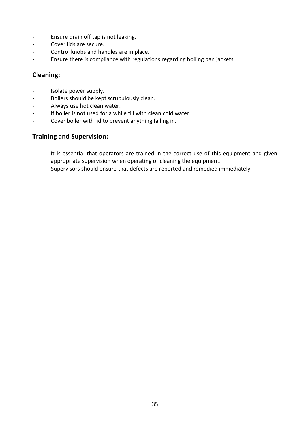- Ensure drain off tap is not leaking.
- Cover lids are secure.
- Control knobs and handles are in place.
- Ensure there is compliance with regulations regarding boiling pan jackets.

### **Cleaning:**

- Isolate power supply.
- Boilers should be kept scrupulously clean.
- Always use hot clean water.
- If boiler is not used for a while fill with clean cold water.
- Cover boiler with lid to prevent anything falling in.

### **Training and Supervision:**

- It is essential that operators are trained in the correct use of this equipment and given appropriate supervision when operating or cleaning the equipment.
- Supervisors should ensure that defects are reported and remedied immediately.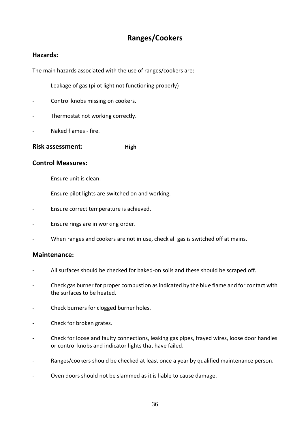### **Ranges/Cookers**

### **Hazards:**

The main hazards associated with the use of ranges/cookers are:

- Leakage of gas (pilot light not functioning properly)
- Control knobs missing on cookers.
- Thermostat not working correctly.
- Naked flames fire.

**Risk assessment: High** 

### **Control Measures:**

- Ensure unit is clean.
- Ensure pilot lights are switched on and working.
- Ensure correct temperature is achieved.
- Ensure rings are in working order.
- When ranges and cookers are not in use, check all gas is switched off at mains.

#### **Maintenance:**

- All surfaces should be checked for baked-on soils and these should be scraped off.
- Check gas burner for proper combustion as indicated by the blue flame and for contact with the surfaces to be heated.
- Check burners for clogged burner holes.
- Check for broken grates.
- Check for loose and faulty connections, leaking gas pipes, frayed wires, loose door handles or control knobs and indicator lights that have failed.
- Ranges/cookers should be checked at least once a year by qualified maintenance person.
- Oven doors should not be slammed as it is liable to cause damage.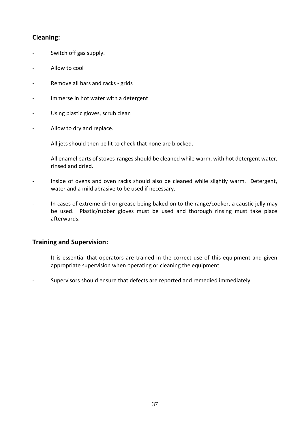### **Cleaning:**

- Switch off gas supply.
- Allow to cool
- Remove all bars and racks grids
- Immerse in hot water with a detergent
- Using plastic gloves, scrub clean
- Allow to dry and replace.
- All jets should then be lit to check that none are blocked.
- All enamel parts of stoves-ranges should be cleaned while warm, with hot detergent water, rinsed and dried.
- Inside of ovens and oven racks should also be cleaned while slightly warm. Detergent, water and a mild abrasive to be used if necessary.
- In cases of extreme dirt or grease being baked on to the range/cooker, a caustic jelly may be used. Plastic/rubber gloves must be used and thorough rinsing must take place afterwards.

### **Training and Supervision:**

- It is essential that operators are trained in the correct use of this equipment and given appropriate supervision when operating or cleaning the equipment.
- Supervisors should ensure that defects are reported and remedied immediately.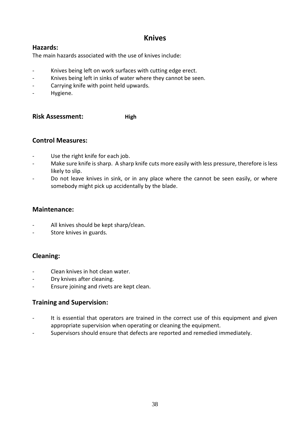### **Knives**

### **Hazards:**

The main hazards associated with the use of knives include:

- Knives being left on work surfaces with cutting edge erect.
- Knives being left in sinks of water where they cannot be seen.
- Carrying knife with point held upwards.
- Hygiene.

**Risk Assessment: High** 

### **Control Measures:**

- Use the right knife for each job.
- Make sure knife is sharp. A sharp knife cuts more easily with less pressure, therefore is less likely to slip.
- Do not leave knives in sink, or in any place where the cannot be seen easily, or where somebody might pick up accidentally by the blade.

### **Maintenance:**

- All knives should be kept sharp/clean.
- Store knives in guards.

### **Cleaning:**

- Clean knives in hot clean water.
- Dry knives after cleaning.
- Ensure joining and rivets are kept clean.

### **Training and Supervision:**

- It is essential that operators are trained in the correct use of this equipment and given appropriate supervision when operating or cleaning the equipment.
- Supervisors should ensure that defects are reported and remedied immediately*.*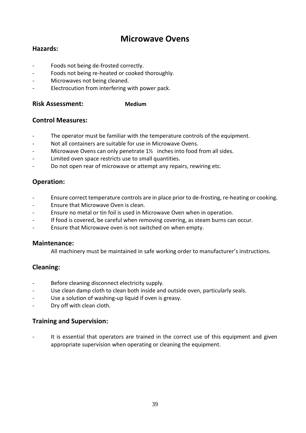### **Microwave Ovens**

### **Hazards:**

- Foods not being de-frosted correctly.
- Foods not being re-heated or cooked thoroughly.
- Microwaves not being cleaned.
- Electrocution from interfering with power pack.

#### **Risk Assessment: Medium**

### **Control Measures:**

- The operator must be familiar with the temperature controls of the equipment.
- Not all containers are suitable for use in Microwave Ovens.
- Microwave Ovens can only penetrate  $1\frac{1}{2}$  inches into food from all sides.
- Limited oven space restricts use to small quantities.
- Do not open rear of microwave or attempt any repairs, rewiring etc.

### **Operation:**

- Ensure correct temperature controls are in place prior to de-frosting, re-heating or cooking.
- Ensure that Microwave Oven is clean.
- Ensure no metal or tin foil is used in Microwave Oven when in operation.
- If food is covered, be careful when removing covering, as steam burns can occur.
- Ensure that Microwave oven is not switched on when empty.

#### **Maintenance:**

All machinery must be maintained in safe working order to manufacturer's instructions.

### **Cleaning:**

- Before cleaning disconnect electricity supply.
- Use clean damp cloth to clean both inside and outside oven, particularly seals.
- Use a solution of washing-up liquid if oven is greasy.
- Dry off with clean cloth.

### **Training and Supervision:**

It is essential that operators are trained in the correct use of this equipment and given appropriate supervision when operating or cleaning the equipment.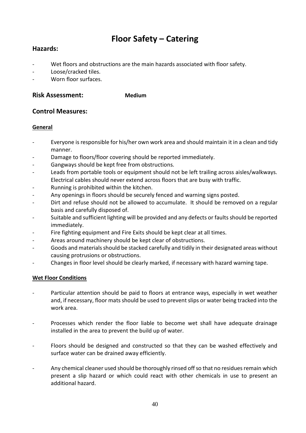## **Floor Safety – Catering**

### **Hazards:**

- Wet floors and obstructions are the main hazards associated with floor safety.
- Loose/cracked tiles.
- Worn floor surfaces.

#### **Risk Assessment: Medium**

#### **Control Measures:**

#### **General**

- Everyone is responsible for his/her own work area and should maintain it in a clean and tidy manner.
- Damage to floors/floor covering should be reported immediately.
- Gangways should be kept free from obstructions.
- Leads from portable tools or equipment should not be left trailing across aisles/walkways. Electrical cables should never extend across floors that are busy with traffic.
- Running is prohibited within the kitchen.
- Any openings in floors should be securely fenced and warning signs posted.
- Dirt and refuse should not be allowed to accumulate. It should be removed on a regular basis and carefully disposed of.
- Suitable and sufficient lighting will be provided and any defects or faults should be reported immediately.
- Fire fighting equipment and Fire Exits should be kept clear at all times.
- Areas around machinery should be kept clear of obstructions.
- Goods and materials should be stacked carefully and tidily in their designated areas without causing protrusions or obstructions.
- Changes in floor level should be clearly marked, if necessary with hazard warning tape.

#### **Wet Floor Conditions**

- Particular attention should be paid to floors at entrance ways, especially in wet weather and, if necessary, floor mats should be used to prevent slips or water being tracked into the work area.
- Processes which render the floor liable to become wet shall have adequate drainage installed in the area to prevent the build up of water.
- Floors should be designed and constructed so that they can be washed effectively and surface water can be drained away efficiently.
- Any chemical cleaner used should be thoroughly rinsed off so that no residues remain which present a slip hazard or which could react with other chemicals in use to present an additional hazard.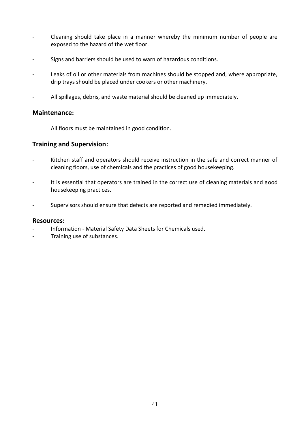- *-* Cleaning should take place in a manner whereby the minimum number of people are exposed to the hazard of the wet floor.
- Signs and barriers should be used to warn of hazardous conditions.
- Leaks of oil or other materials from machines should be stopped and, where appropriate, drip trays should be placed under cookers or other machinery.
- All spillages, debris, and waste material should be cleaned up immediately.

#### **Maintenance:**

All floors must be maintained in good condition.

#### **Training and Supervision:**

- Kitchen staff and operators should receive instruction in the safe and correct manner of cleaning floors, use of chemicals and the practices of good housekeeping.
- It is essential that operators are trained in the correct use of cleaning materials and good housekeeping practices.
- Supervisors should ensure that defects are reported and remedied immediately.

#### **Resources:**

- Information Material Safety Data Sheets for Chemicals used.
- Training use of substances.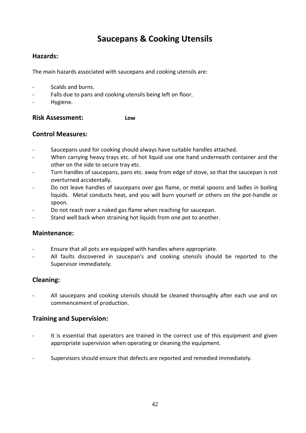### **Saucepans & Cooking Utensils**

### **Hazards:**

The main hazards associated with saucepans and cooking utensils are:

- Scalds and burns.
- Falls due to pans and cooking utensils being left on floor.
- Hygiene.

### **Risk Assessment: Low**

#### **Control Measures:**

- Saucepans used for cooking should always have suitable handles attached.
- When carrying heavy trays etc. of hot liquid use one hand underneath container and the other on the side to secure tray etc.
- Turn handles of saucepans, pans etc. away from edge of stove, so that the saucepan is not overturned accidentally.
- Do not leave handles of saucepans over gas flame, or metal spoons and ladles in boiling liquids. Metal conducts heat, and you will burn yourself or others on the pot-handle or spoon.
- Do not reach over a naked gas flame when reaching for saucepan.
- Stand well back when straining hot liquids from one pot to another.

#### **Maintenance:**

- Ensure that all pots are equipped with handles where appropriate.
- All faults discovered in saucepan's and cooking utensils should be reported to the Supervisor immediately.

### **Cleaning:**

All saucepans and cooking utensils should be cleaned thoroughly after each use and on commencement of production.

#### **Training and Supervision:**

- It is essential that operators are trained in the correct use of this equipment and given appropriate supervision when operating or cleaning the equipment.
- Supervisors should ensure that defects are reported and remedied immediately.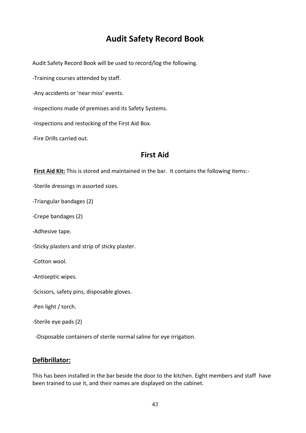### **Audit Safety Record Book**

Audit Safety Record Book will be used to record/log the following.

-Training courses attended by staff.

-Any accidents or 'near miss' events.

-Inspections made of premises and its Safety Systems.

-Inspections and restocking of the First Aid Box.

-Fire Drills carried out.

### **First Aid**

**First Aid Kit:** This is stored and maintained in the bar. It contains the following items:-

-Sterile dressings in assorted sizes.

-Triangular bandages (2)

-Crepe bandages (2)

-Adhesive tape.

-Sticky plasters and strip of sticky plaster.

-Cotton wool.

-Antiseptic wipes.

-Scissors, safety pins, disposable gloves.

-Pen light / torch.

-Sterile eye pads (2)

-Disposable containers of sterile normal saline for eye irrigation.

#### **Defibrillator:**

This has been installed in the bar beside the door to the kitchen. Eight members and staff have been trained to use it, and their names are displayed on the cabinet.